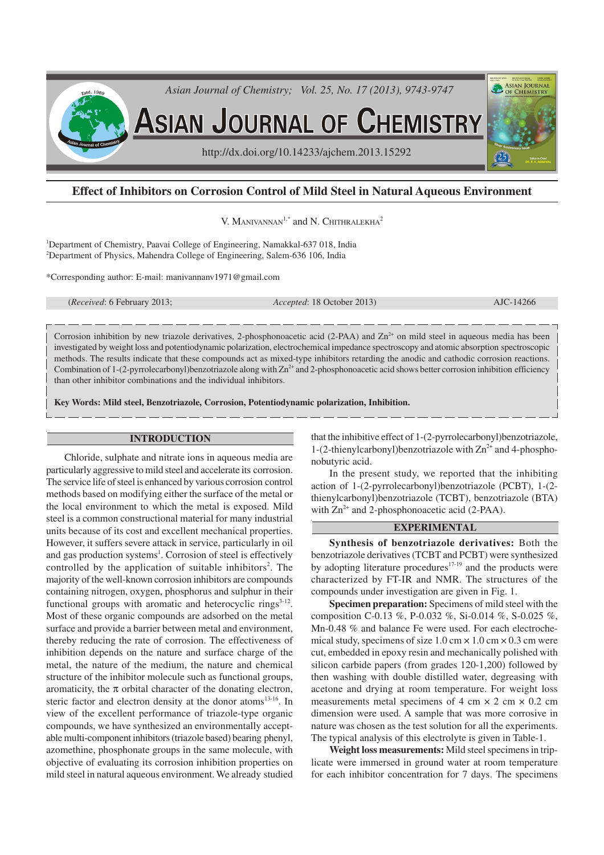

# **Effect of Inhibitors on Corrosion Control of Mild Steel in Natural Aqueous Environment**

V. MANIVANNAN<sup>1,\*</sup> and N. CHITHRALEKHA<sup>2</sup>

<sup>1</sup>Department of Chemistry, Paavai College of Engineering, Namakkal-637 018, India <sup>2</sup>Department of Physics, Mahendra College of Engineering, Salem-636 106, India

\*Corresponding author: E-mail: manivannanv1971@gmail.com

(*Received*: 6 February 2013; *Accepted*: 18 October 2013) AJC-14266

Corrosion inhibition by new triazole derivatives, 2-phosphonoacetic acid (2-PAA) and  $\text{Zn}^{2+}$  on mild steel in aqueous media has been investigated by weight loss and potentiodynamic polarization, electrochemical impedance spectroscopy and atomic absorption spectroscopic methods. The results indicate that these compounds act as mixed-type inhibitors retarding the anodic and cathodic corrosion reactions. Combination of 1-(2-pyrrolecarbonyl)benzotriazole along with  $\text{Zn}^{2+}$  and 2-phosphonoacetic acid shows better corrosion inhibition efficiency than other inhibitor combinations and the individual inhibitors.

**Key Words: Mild steel, Benzotriazole, Corrosion, Potentiodynamic polarization, Inhibition.**

#### **INTRODUCTION**

Chloride, sulphate and nitrate ions in aqueous media are particularly aggressive to mild steel and accelerate its corrosion. The service life of steel is enhanced by various corrosion control methods based on modifying either the surface of the metal or the local environment to which the metal is exposed. Mild steel is a common constructional material for many industrial units because of its cost and excellent mechanical properties. However, it suffers severe attack in service, particularly in oil and gas production systems<sup>1</sup>. Corrosion of steel is effectively controlled by the application of suitable inhibitors 2 . The majority of the well-known corrosion inhibitors are compounds containing nitrogen, oxygen, phosphorus and sulphur in their functional groups with aromatic and heterocyclic rings $3-12$ . Most of these organic compounds are adsorbed on the metal surface and provide a barrier between metal and environment, thereby reducing the rate of corrosion. The effectiveness of inhibition depends on the nature and surface charge of the metal, the nature of the medium, the nature and chemical structure of the inhibitor molecule such as functional groups, aromaticity, the  $\pi$  orbital character of the donating electron, steric factor and electron density at the donor atoms<sup>13-16</sup>. In view of the excellent performance of triazole-type organic compounds, we have synthesized an environmentally acceptable multi-component inhibitors (triazole based) bearing phenyl, azomethine, phosphonate groups in the same molecule, with objective of evaluating its corrosion inhibition properties on mild steel in natural aqueous environment. We already studied that the inhibitive effect of 1-(2-pyrrolecarbonyl)benzotriazole, 1-(2-thienylcarbonyl)benzotriazole with  $\text{Zn}^{2+}$  and 4-phosphonobutyric acid.

In the present study, we reported that the inhibiting action of 1-(2-pyrrolecarbonyl)benzotriazole (PCBT), 1-(2 thienylcarbonyl)benzotriazole (TCBT), benzotriazole (BTA) with  $\text{Zn}^{2+}$  and 2-phosphonoacetic acid (2-PAA).

### **EXPERIMENTAL**

**Synthesis of benzotriazole derivatives:** Both the benzotriazole derivatives (TCBT and PCBT) were synthesized by adopting literature procedures $17-19$  and the products were characterized by FT-IR and NMR. The structures of the compounds under investigation are given in Fig. 1.

**Specimen preparation:**Specimens of mild steel with the composition C-0.13 %, P-0.032 %, Si-0.014 %, S-0.025 %, Mn-0.48 % and balance Fe were used. For each electrochemical study, specimens of size  $1.0 \text{ cm} \times 1.0 \text{ cm} \times 0.3 \text{ cm}$  were cut, embedded in epoxy resin and mechanically polished with silicon carbide papers (from grades 120-1,200) followed by then washing with double distilled water, degreasing with acetone and drying at room temperature. For weight loss measurements metal specimens of 4 cm  $\times$  2 cm  $\times$  0.2 cm dimension were used. A sample that was more corrosive in nature was chosen as the test solution for all the experiments. The typical analysis of this electrolyte is given in Table-1.

**Weight loss measurements:** Mild steel specimens in triplicate were immersed in ground water at room temperature for each inhibitor concentration for 7 days. The specimens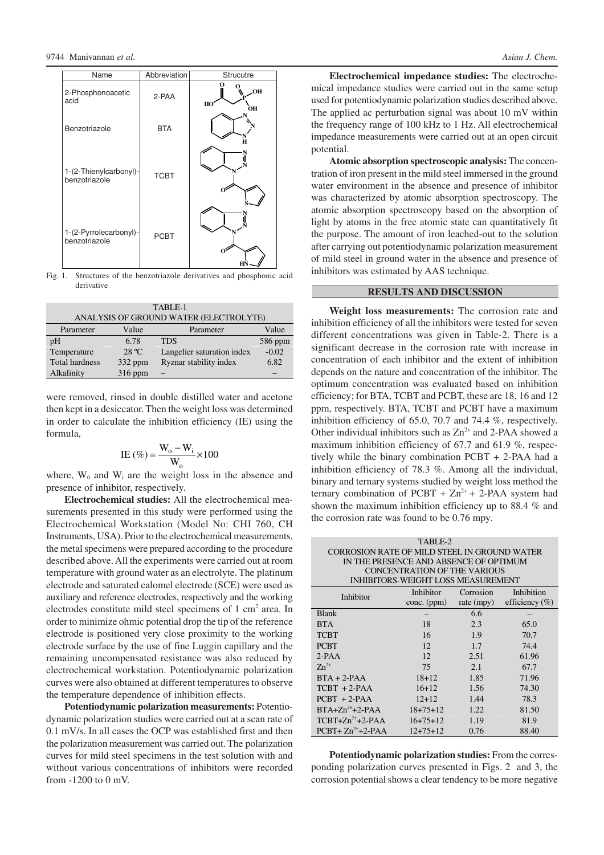

Fig. 1. Structures of the benzotriazole derivatives and phosphonic acid derivative

| TABLE-1                                |                 |                            |         |  |  |
|----------------------------------------|-----------------|----------------------------|---------|--|--|
| ANALYSIS OF GROUND WATER (ELECTROLYTE) |                 |                            |         |  |  |
| Parameter                              | Value           | Value<br>Parameter         |         |  |  |
| pH                                     | 6.78            | <b>TDS</b>                 | 586 ppm |  |  |
| Temperature                            | $28 \text{ °C}$ | Langelier saturation index | $-0.02$ |  |  |
| <b>Total hardness</b>                  | $332$ ppm       | Ryznar stability index     | 6.82    |  |  |
| Alkalinity                             | 316 ppm         |                            |         |  |  |

were removed, rinsed in double distilled water and acetone then kept in a desiccator. Then the weight loss was determined in order to calculate the inhibition efficiency (IE) using the formula,

$$
IE (\%) = \frac{W_o - W_i}{W_o} \times 100
$$

where,  $W_0$  and  $W_i$  are the weight loss in the absence and presence of inhibitor, respectively.

**Electrochemical studies:** All the electrochemical measurements presented in this study were performed using the Electrochemical Workstation (Model No: CHI 760, CH Instruments, USA). Prior to the electrochemical measurements, the metal specimens were prepared according to the procedure described above. All the experiments were carried out at room temperature with ground water as an electrolyte. The platinum electrode and saturated calomel electrode (SCE) were used as auxiliary and reference electrodes, respectively and the working electrodes constitute mild steel specimens of 1 cm<sup>2</sup> area. In order to minimize ohmic potential drop the tip of the reference electrode is positioned very close proximity to the working electrode surface by the use of fine Luggin capillary and the remaining uncompensated resistance was also reduced by electrochemical workstation. Potentiodynamic polarization curves were also obtained at different temperatures to observe the temperature dependence of inhibition effects.

**Potentiodynamic polarization measurements:**Potentiodynamic polarization studies were carried out at a scan rate of 0.1 mV/s. In all cases the OCP was established first and then the polarization measurement was carried out. The polarization curves for mild steel specimens in the test solution with and without various concentrations of inhibitors were recorded from -1200 to 0 mV.

**Electrochemical impedance studies:** The electrochemical impedance studies were carried out in the same setup used for potentiodynamic polarization studies described above. The applied ac perturbation signal was about 10 mV within the frequency range of 100 kHz to 1 Hz. All electrochemical impedance measurements were carried out at an open circuit potential.

**Atomic absorption spectroscopic analysis:** The concentration of iron present in the mild steel immersed in the ground water environment in the absence and presence of inhibitor was characterized by atomic absorption spectroscopy. The atomic absorption spectroscopy based on the absorption of light by atoms in the free atomic state can quantitatively fit the purpose. The amount of iron leached-out to the solution after carrying out potentiodynamic polarization measurement of mild steel in ground water in the absence and presence of inhibitors was estimated by AAS technique.

# **RESULTS AND DISCUSSION**

**Weight loss measurements:** The corrosion rate and inhibition efficiency of all the inhibitors were tested for seven different concentrations was given in Table-2. There is a significant decrease in the corrosion rate with increase in concentration of each inhibitor and the extent of inhibition depends on the nature and concentration of the inhibitor. The optimum concentration was evaluated based on inhibition efficiency; for BTA, TCBT and PCBT, these are 18, 16 and 12 ppm, respectively. BTA, TCBT and PCBT have a maximum inhibition efficiency of 65.0, 70.7 and 74.4 %, respectively. Other individual inhibitors such as  $Zn^{2+}$  and 2-PAA showed a maximum inhibition efficiency of 67.7 and 61.9 %, respectively while the binary combination PCBT + 2-PAA had a inhibition efficiency of 78.3 %. Among all the individual, binary and ternary systems studied by weight loss method the ternary combination of PCBT +  $Zn^{2+}$  + 2-PAA system had shown the maximum inhibition efficiency up to 88.4 % and the corrosion rate was found to be 0.76 mpy.

| TABLE-2                                |                                              |           |                               |  |  |
|----------------------------------------|----------------------------------------------|-----------|-------------------------------|--|--|
|                                        | CORROSION RATE OF MILD STEEL IN GROUND WATER |           |                               |  |  |
| IN THE PRESENCE AND ABSENCE OF OPTIMUM |                                              |           |                               |  |  |
|                                        | CONCENTRATION OF THE VARIOUS                 |           |                               |  |  |
|                                        | <b>INHIBITORS-WEIGHT LOSS MEASUREMENT</b>    |           |                               |  |  |
|                                        | Inhibitor                                    | Corrosion | Inhibition                    |  |  |
| Inhibitor                              | conc. (ppm)                                  |           | rate (mpy) efficiency $(\% )$ |  |  |
| <b>Blank</b>                           |                                              | 6.6       |                               |  |  |
| <b>BTA</b>                             | 18                                           | 2.3       | 65.0                          |  |  |
| <b>TCBT</b>                            | 16                                           | 1.9       | 70.7                          |  |  |
| <b>PCBT</b>                            | 12                                           | 1.7       | 74.4                          |  |  |
| $2-PAA$                                | 12                                           | 2.51      | 61.96                         |  |  |
| $Zn^{2+}$                              | 75                                           | 2.1       | 67.7                          |  |  |
| $BTA + 2-PAA$                          | $18 + 12$                                    | 1.85      | 71.96                         |  |  |
| $TCBT + 2-PAA$                         | $16+12$                                      | 1.56      | 74.30                         |  |  |
| $PCBT + 2-PAA$                         | $12+12$                                      | 1.44      | 78.3                          |  |  |
| $BTA+Zn^{2+}+2-PAA$                    | $18 + 75 + 12$                               | 1.22      | 81.50                         |  |  |
| $TCBT+Zn^{2+}+2-PAA$                   | $16+75+12$                                   | 1.19      | 81.9                          |  |  |
| $PCBT+Zn^{2+}+2-PAA$                   | $12+75+12$                                   | 0.76      | 88.40                         |  |  |

Potentiodynamic polarization studies: From the corresponding polarization curves presented in Figs. 2 and 3, the corrosion potential shows a clear tendency to be more negative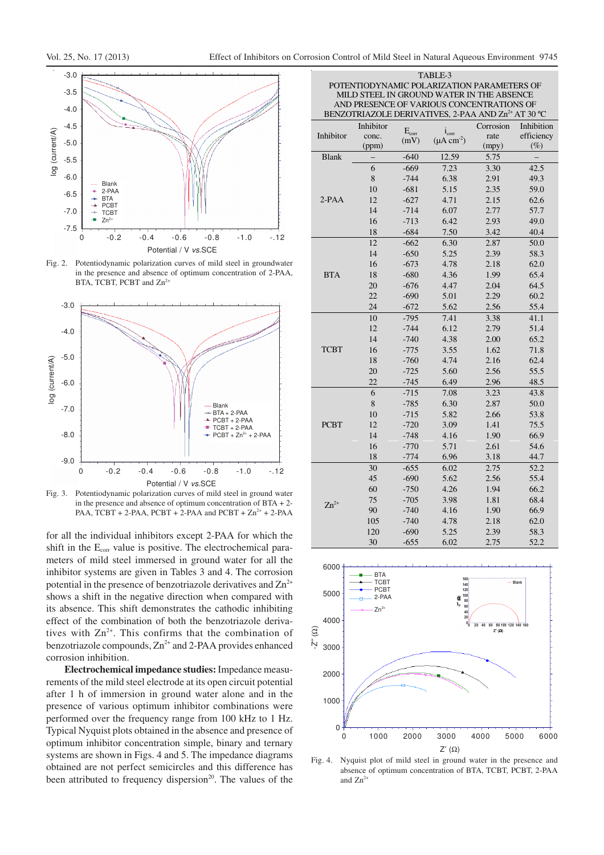

Fig. 2. Potentiodynamic polarization curves of mild steel in groundwater in the presence and absence of optimum concentration of 2-PAA, BTA, TCBT, PCBT and Zn<sup>2</sup>



Fig. 3. Potentiodynamic polarization curves of mild steel in ground water in the presence and absence of optimum concentration of  $BTA + 2$ -PAA,  $TCBT + 2-PAA$ ,  $PCBT + 2-PAA$  and  $PCBT + Zn^{2+} + 2-PAA$ 

for all the individual inhibitors except 2-PAA for which the shift in the E<sub>corr</sub> value is positive. The electrochemical parameters of mild steel immersed in ground water for all the inhibitor systems are given in Tables 3 and 4. The corrosion potential in the presence of benzotriazole derivatives and  $\text{Zn}^{2+}$ shows a shift in the negative direction when compared with its absence. This shift demonstrates the cathodic inhibiting effect of the combination of both the benzotriazole derivatives with  $\text{Zn}^{2+}$ . This confirms that the combination of benzotriazole compounds,  $Zn^{2+}$  and 2-PAA provides enhanced corrosion inhibition.

**Electrochemical impedance studies:** Impedance measurements of the mild steel electrode at its open circuit potential after 1 h of immersion in ground water alone and in the presence of various optimum inhibitor combinations were performed over the frequency range from 100 kHz to 1 Hz. Typical Nyquist plots obtained in the absence and presence of optimum inhibitor concentration simple, binary and ternary systems are shown in Figs. 4 and 5. The impedance diagrams obtained are not perfect semicircles and this difference has been attributed to frequency dispersion<sup>20</sup>. The values of the

| MILD STEEL IN GROUND WATER IN THE ABSENCE                                                                   |                    |                |                           |                   |                          |
|-------------------------------------------------------------------------------------------------------------|--------------------|----------------|---------------------------|-------------------|--------------------------|
| AND PRESENCE OF VARIOUS CONCENTRATIONS OF<br>BENZOTRIAZOLE DERIVATIVES, 2-PAA AND Zn <sup>2+</sup> AT 30 °C |                    |                |                           |                   |                          |
|                                                                                                             |                    |                |                           |                   |                          |
| Inhibitor                                                                                                   | Inhibitor<br>conc. | $E_{\rm corr}$ | $i_{corr}$                | Corrosion<br>rate | Inhibition<br>efficiency |
|                                                                                                             | (ppm)              | (mV)           | $(\mu A \text{ cm}^{-2})$ | (mpy)             | $(\%)$                   |
| <b>Blank</b>                                                                                                |                    | $-640$         | 12.59                     | 5.75              |                          |
|                                                                                                             | 6                  | $-669$         | 7.23                      | 3.30              | 42.5                     |
|                                                                                                             | 8                  | $-744$         | 6.38                      | 2.91              | 49.3                     |
|                                                                                                             | 10                 | $-681$         | 5.15                      | 2.35              | 59.0                     |
| $2-PAA$                                                                                                     | 12                 | $-627$         | 4.71                      | 2.15              | 62.6                     |
|                                                                                                             | 14                 | $-714$         | 6.07                      | 2.77              | 57.7                     |
|                                                                                                             | 16                 | $-713$         | 6.42                      | 2.93              | 49.0                     |
|                                                                                                             | 18                 | $-684$         | 7.50                      | 3.42              | 40.4                     |
|                                                                                                             | 12                 | $-662$         | 6.30                      | 2.87              | 50.0                     |
|                                                                                                             | 14                 | $-650$         | 5.25                      | 2.39              | 58.3                     |
|                                                                                                             | 16                 | $-673$         | 4.78                      | 2.18              | 62.0                     |
| <b>BTA</b>                                                                                                  | 18                 | $-680$         | 4.36                      | 1.99              | 65.4                     |
|                                                                                                             | 20                 | $-676$         | 4.47                      | 2.04              | 64.5                     |
|                                                                                                             | 22                 | $-690$         | 5.01                      | 2.29              | 60.2                     |
|                                                                                                             | 24                 | $-672$         | 5.62                      | 2.56              | 55.4                     |
|                                                                                                             | 10                 | $-795$         | 7.41                      | 3.38              | 41.1                     |
|                                                                                                             | 12                 | $-744$         | 6.12                      | 2.79              | 51.4                     |
|                                                                                                             | 14                 | $-740$         | 4.38                      | 2.00              | 65.2                     |
| <b>TCBT</b>                                                                                                 | 16                 | $-775$         | 3.55                      | 1.62              | 71.8                     |
|                                                                                                             | 18                 | $-760$         | 4.74                      | 2.16              | 62.4                     |
|                                                                                                             | 20                 | $-725$         | 5.60                      | 2.56              | 55.5                     |
|                                                                                                             | 22                 | $-745$         | 6.49                      | 2.96              | 48.5                     |
|                                                                                                             | 6                  | $-715$         | 7.08                      | 3.23              | 43.8                     |
|                                                                                                             | 8                  | $-785$         | 6.30                      | 2.87              | 50.0                     |
|                                                                                                             | 10                 | $-715$         | 5.82                      | 2.66              | 53.8                     |
| <b>PCBT</b>                                                                                                 | 12                 | $-720$         | 3.09                      | 1.41              | 75.5                     |
|                                                                                                             | 14                 | $-748$         | 4.16                      | 1.90              | 66.9                     |
|                                                                                                             | 16                 | $-770$         | 5.71                      | 2.61              | 54.6                     |
|                                                                                                             | 18                 | -774           | 6.96                      | 3.18              | 44.7                     |
|                                                                                                             | 30                 | $-655$         | 6.02                      | 2.75              | 52.2                     |
|                                                                                                             | 45                 | $-690$         | 5.62                      | 2.56              | 55.4                     |
|                                                                                                             | 60                 | $-750$         | 4.26                      | 1.94              | 66.2                     |
|                                                                                                             | 75                 | $-705$         | 3.98                      | 1.81              | 68.4                     |
| $Zn^{2+}$                                                                                                   | 90                 | $-740$         | 4.16                      | 1.90              | 66.9                     |
|                                                                                                             | 105                | $-740$         | 4.78                      | 2.18              | 62.0                     |
|                                                                                                             | 120                | $-690$         | 5.25                      | 2.39              | 58.3                     |
|                                                                                                             | 30                 | $-655$         | 6.02                      | 2.75              | 52.2                     |

TABLE-3 POTENTIODYNAMIC POLARIZATION PARAMETERS OF



Fig. 4. Nyquist plot of mild steel in ground water in the presence and absence of optimum concentration of BTA, TCBT, PCBT, 2-PAA and  $Zn^{2+}$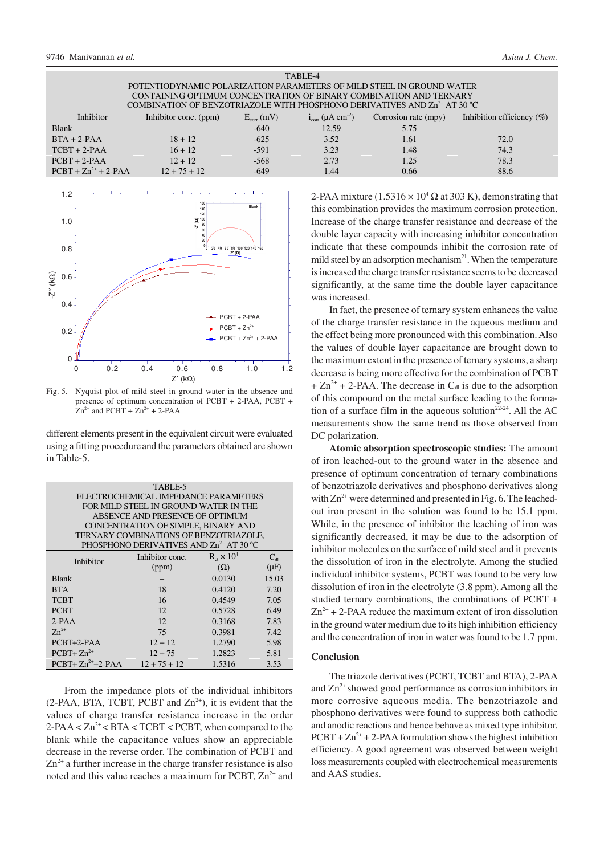| TABLE-4                                                                               |                       |                     |                                   |                      |                              |
|---------------------------------------------------------------------------------------|-----------------------|---------------------|-----------------------------------|----------------------|------------------------------|
| POTENTIODYNAMIC POLARIZATION PARAMETERS OF MILD STEEL IN GROUND WATER                 |                       |                     |                                   |                      |                              |
| CONTAINING OPTIMUM CONCENTRATION OF BINARY COMBINATION AND TERNARY                    |                       |                     |                                   |                      |                              |
| COMBINATION OF BENZOTRIAZOLE WITH PHOSPHONO DERIVATIVES AND Zn <sup>2+</sup> AT 30 °C |                       |                     |                                   |                      |                              |
| Inhibitor                                                                             | Inhibitor conc. (ppm) | $E_{\rm corr}$ (mV) | $i_{corr}$ (µA cm <sup>-2</sup> ) | Corrosion rate (mpy) | Inhibition efficiency $(\%)$ |
| <b>Blank</b>                                                                          |                       | $-640$              | 12.59                             | 5.75                 |                              |
| $BTA + 2-PAA$                                                                         | $18 + 12$             | $-625$              | 3.52                              | 1.61                 | 72.0                         |
| $TCBT + 2-PAA$                                                                        | $16 + 12$             | $-591$              | 3.23                              | 1.48                 | 74.3                         |
| $PCBT + 2-PAA$                                                                        | $12 + 12$             | $-568$              | 2.73                              | 1.25                 | 78.3                         |
| $PCBT + Zn^{2+} + 2-PAA$                                                              | $12 + 75 + 12$        | $-649$              | 1.44                              | 0.66                 | 88.6                         |



Fig. 5. Nyquist plot of mild steel in ground water in the absence and presence of optimum concentration of PCBT + 2-PAA, PCBT +  $Zn^{2+}$  and PCBT +  $Zn^{2+}$  + 2-PAA

different elements present in the equivalent circuit were evaluated using a fitting procedureand the parameters obtained are shown in Table-5.

| TABLE-5<br>ELECTROCHEMICAL IMPEDANCE PARAMETERS |                                                     |                          |              |  |  |
|-------------------------------------------------|-----------------------------------------------------|--------------------------|--------------|--|--|
|                                                 |                                                     |                          |              |  |  |
| FOR MILD STEEL IN GROUND WATER IN THE           |                                                     |                          |              |  |  |
|                                                 | ABSENCE AND PRESENCE OF OPTIMUM                     |                          |              |  |  |
|                                                 | CONCENTRATION OF SIMPLE, BINARY AND                 |                          |              |  |  |
|                                                 | TERNARY COMBINATIONS OF BENZOTRIAZOLE,              |                          |              |  |  |
|                                                 | PHOSPHONO DERIVATIVES AND Zn <sup>2+</sup> AT 30 °C |                          |              |  |  |
| Inhibitor                                       | Inhibitor conc.                                     | $R_{\rm ct} \times 10^4$ | $C_{\rm dl}$ |  |  |
|                                                 | (ppm)                                               | $(\Omega)$               | $(\mu F)$    |  |  |
| <b>Blank</b>                                    |                                                     | 0.0130                   | 15.03        |  |  |
| <b>BTA</b>                                      | 18                                                  | 0.4120                   | 7.20         |  |  |
| TCBT                                            | 16                                                  | 0.4549                   | 7.05         |  |  |
| <b>PCBT</b>                                     | 12                                                  | 0.5728                   | 6.49         |  |  |
| $2-PAA$                                         | 12                                                  | 0.3168                   | 7.83         |  |  |
| $Zn^{2+}$                                       | 75                                                  | 0.3981                   | 7.42         |  |  |
| $PCBT+2-PAA$                                    | $12 + 12$                                           | 1.2790                   | 5.98         |  |  |
| $PCBT+Zn^{2+}$                                  | $12 + 75$                                           | 1.2823                   | 5.81         |  |  |
| $PCBT+Zn^{2+}+2-PAA$                            | $12 + 75 + 12$                                      | 1.5316                   | 3.53         |  |  |

From the impedance plots of the individual inhibitors (2-PAA, BTA, TCBT, PCBT and  $Zn^{2+}$ ), it is evident that the values of charge transfer resistance increase in the order  $2$ -PAA <  $Zn^{2+}$  <  $BTA$  <  $TCBT$  <  $PCBT$ , when compared to the blank while the capacitance values show an appreciable decrease in the reverse order. The combination of PCBT and  $Zn^{2+}$  a further increase in the charge transfer resistance is also noted and this value reaches a maximum for PCBT,  $Zn^{2+}$  and

2-PAA mixture (1.5316  $\times$  10<sup>4</sup>  $\Omega$  at 303 K), demonstrating that this combination provides the maximum corrosion protection. Increase of the charge transfer resistance and decrease of the double layer capacity with increasing inhibitor concentration indicate that these compounds inhibit the corrosion rate of mild steel by an adsorption mechanism<sup>21</sup>. When the temperature is increased the charge transfer resistance seems to be decreased significantly, at the same time the double layer capacitance was increased.

In fact, the presence of ternary system enhances the value of the charge transfer resistance in the aqueous medium and the effect being more pronounced with this combination. Also the values of double layer capacitance are brought down to the maximum extent in the presence of ternary systems, a sharp decrease is being more effective for the combination of PCBT  $+ Zn^{2+} + 2-PAA$ . The decrease in C<sub>dl</sub> is due to the adsorption of this compound on the metal surface leading to the formation of a surface film in the aqueous solution<sup>22-24</sup>. All the AC measurements show the same trend as those observed from DC polarization.

**Atomic absorption spectroscopic studies:** The amount of iron leached-out to the ground water in the absence and presence of optimum concentration of ternary combinations of benzotriazole derivatives and phosphono derivatives along with  $\text{Zn}^{2+}$  were determined and presented in Fig. 6. The leachedout iron present in the solution was found to be 15.1 ppm. While, in the presence of inhibitor the leaching of iron was significantly decreased, it may be due to the adsorption of inhibitor molecules on the surface of mild steel and it prevents the dissolution of iron in the electrolyte. Among the studied individual inhibitor systems, PCBT was found to be very low dissolution of iron in the electrolyte (3.8 ppm). Among all the studied ternary combinations, the combinations of PCBT +  $Zn^{2+}$  + 2-PAA reduce the maximum extent of iron dissolution in the ground water medium due to its high inhibition efficiency and the concentration of iron in water was found to be 1.7 ppm.

### **Conclusion**

The triazole derivatives (PCBT, TCBT and BTA), 2-PAA and  $Zn^{2+}$  showed good performance as corrosion inhibitors in more corrosive aqueous media. The benzotriazole and phosphono derivatives were found to suppress both cathodic and anodic reactions and hence behave as mixed type inhibitor.  $PCBT + Zn^{2+} + 2-PAA$  formulation shows the highest inhibition efficiency. A good agreement was observed between weight loss measurements coupled with electrochemical measurements and AAS studies.